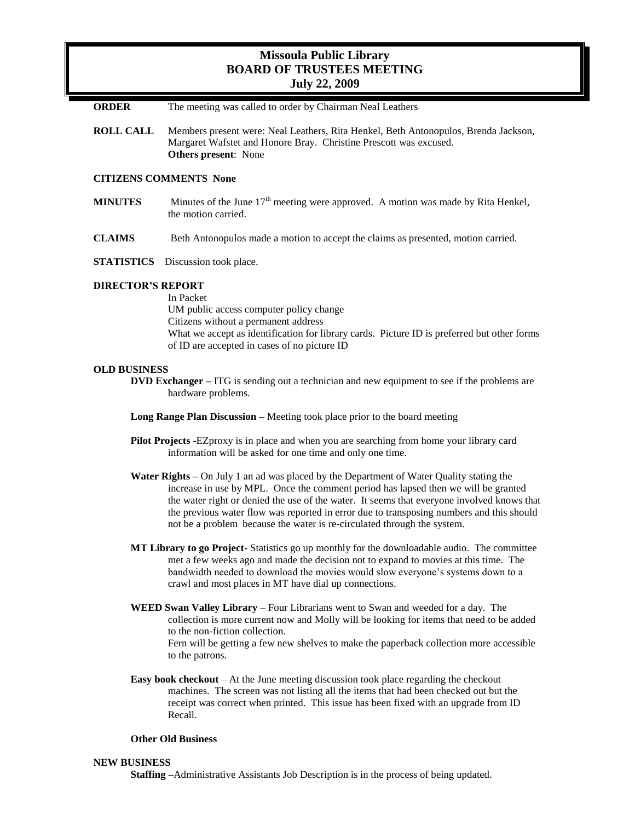# **Missoula Public Library BOARD OF TRUSTEES MEETING July 22, 2009**

**ORDER** The meeting was called to order by Chairman Neal Leathers

**ROLL CALL** Members present were: Neal Leathers, Rita Henkel, Beth Antonopulos, Brenda Jackson, Margaret Wafstet and Honore Bray. Christine Prescott was excused. **Others present**: None

## **CITIZENS COMMENTS None**

- **MINUTES** Minutes of the June  $17<sup>th</sup>$  meeting were approved. A motion was made by Rita Henkel, the motion carried.
- **CLAIMS** Beth Antonopulos made a motion to accept the claims as presented, motion carried.
- **STATISTICS** Discussion took place.

### **DIRECTOR'S REPORT**

In Packet UM public access computer policy change Citizens without a permanent address What we accept as identification for library cards. Picture ID is preferred but other forms of ID are accepted in cases of no picture ID

#### **OLD BUSINESS**

- **DVD Exchanger –** ITG is sending out a technician and new equipment to see if the problems are hardware problems.
- **Long Range Plan Discussion –** Meeting took place prior to the board meeting
- **Pilot Projects -**EZproxy is in place and when you are searching from home your library card information will be asked for one time and only one time.
- **Water Rights –** On July 1 an ad was placed by the Department of Water Quality stating the increase in use by MPL. Once the comment period has lapsed then we will be granted the water right or denied the use of the water. It seems that everyone involved knows that the previous water flow was reported in error due to transposing numbers and this should not be a problem because the water is re-circulated through the system.
- **MT Library to go Project-** Statistics go up monthly for the downloadable audio. The committee met a few weeks ago and made the decision not to expand to movies at this time. The bandwidth needed to download the movies would slow everyone's systems down to a crawl and most places in MT have dial up connections.
- **WEED Swan Valley Library** Four Librarians went to Swan and weeded for a day. The collection is more current now and Molly will be looking for items that need to be added to the non-fiction collection. Fern will be getting a few new shelves to make the paperback collection more accessible to the patrons.
- **Easy book checkout** At the June meeting discussion took place regarding the checkout machines. The screen was not listing all the items that had been checked out but the receipt was correct when printed. This issue has been fixed with an upgrade from ID Recall.

#### **Other Old Business**

#### **NEW BUSINESS**

**Staffing –**Administrative Assistants Job Description is in the process of being updated.